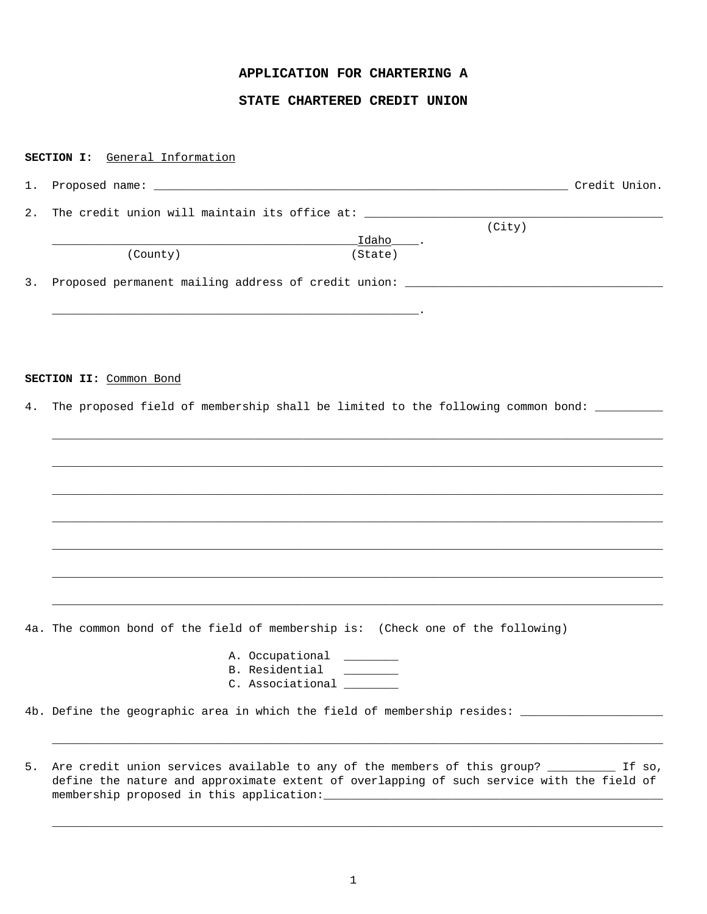## **APPLICATION FOR CHARTERING A**

## **STATE CHARTERED CREDIT UNION**

|       | <b>SECTION I:</b> General Information                                                                |
|-------|------------------------------------------------------------------------------------------------------|
| ı.    |                                                                                                      |
| $2$ . |                                                                                                      |
|       | (City)                                                                                               |
|       | Idaho .                                                                                              |
|       | (County)<br>(State)                                                                                  |
| 3.    | Proposed permanent mailing address of credit union: ____________________________                     |
|       |                                                                                                      |
|       |                                                                                                      |
|       |                                                                                                      |
|       |                                                                                                      |
|       | <b>SECTION II: Common Bond</b>                                                                       |
|       |                                                                                                      |
| 4.    | The proposed field of membership shall be limited to the following common bond: ________             |
|       |                                                                                                      |
|       |                                                                                                      |
|       |                                                                                                      |
|       |                                                                                                      |
|       |                                                                                                      |
|       |                                                                                                      |
|       |                                                                                                      |
|       |                                                                                                      |
|       |                                                                                                      |
|       |                                                                                                      |
|       | 4a. The common bond of the field of membership is: (Check one of the following)                      |
|       | A. Occupational ________                                                                             |
|       | B. Residential                                                                                       |
|       | C. Associational ________                                                                            |
|       | 4b. Define the geographic area in which the field of membership resides: ___________________________ |
|       |                                                                                                      |
|       |                                                                                                      |
| 5.    | Are credit union services available to any of the members of this group? ___________ If so,          |
|       | define the nature and approximate extent of overlapping of such service with the field of            |
|       |                                                                                                      |

\_\_\_\_\_\_\_\_\_\_\_\_\_\_\_\_\_\_\_\_\_\_\_\_\_\_\_\_\_\_\_\_\_\_\_\_\_\_\_\_\_\_\_\_\_\_\_\_\_\_\_\_\_\_\_\_\_\_\_\_\_\_\_\_\_\_\_\_\_\_\_\_\_\_\_\_\_\_\_\_\_\_\_\_\_\_\_\_\_\_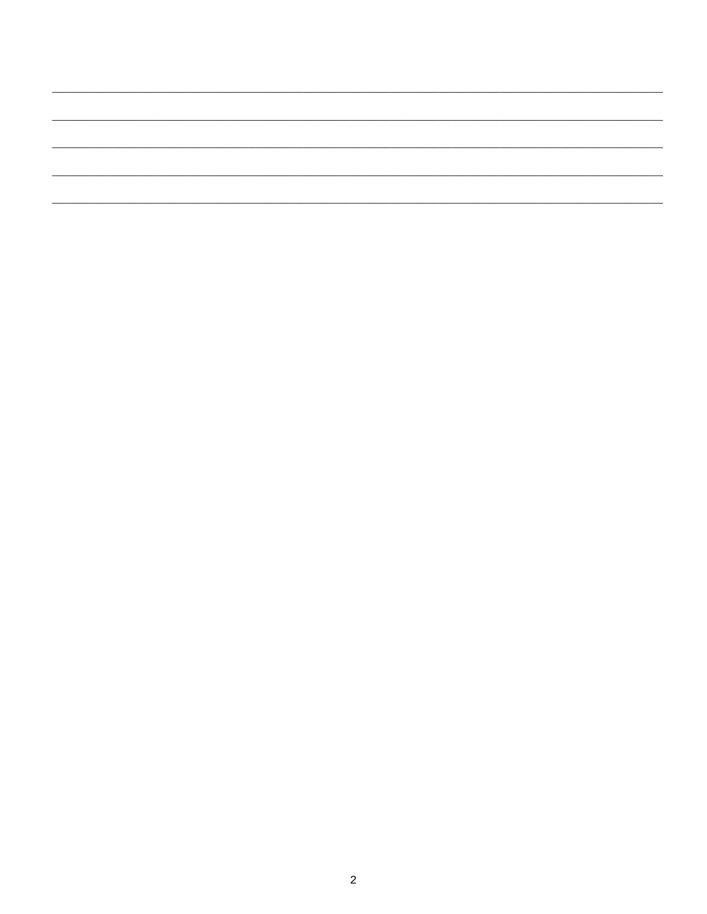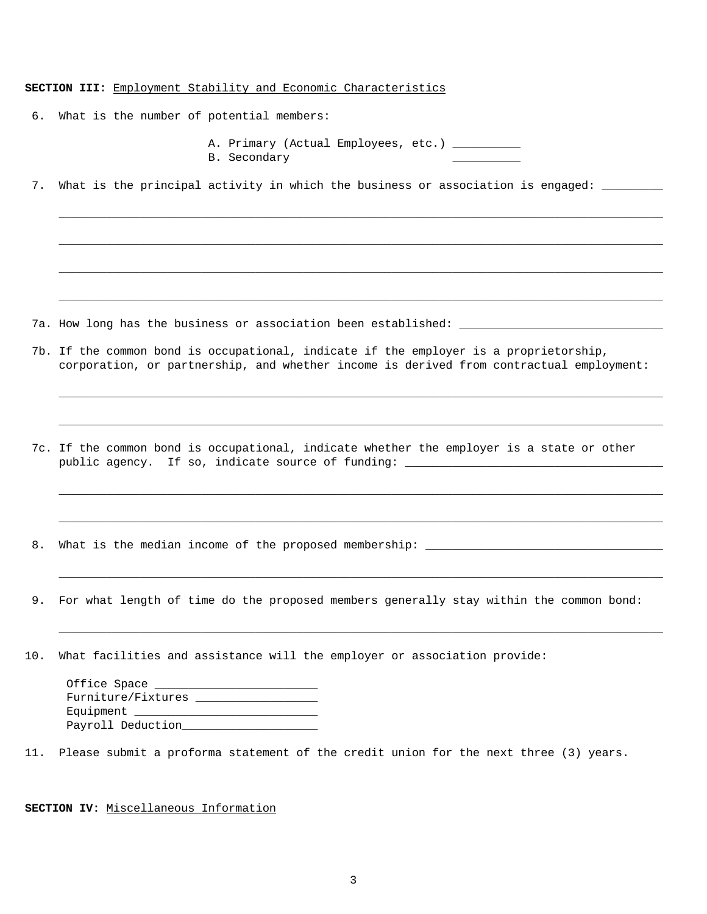| SECTION III: Employment Stability and Economic Characteristics |  |  |  |  |  |  |  |
|----------------------------------------------------------------|--|--|--|--|--|--|--|
|----------------------------------------------------------------|--|--|--|--|--|--|--|

- 6. What is the number of potential members:
	- A. Primary (Actual Employees, etc.) \_\_\_\_\_\_\_\_\_\_ B. Secondary

\_\_\_\_\_\_\_\_\_\_\_\_\_\_\_\_\_\_\_\_\_\_\_\_\_\_\_\_\_\_\_\_\_\_\_\_\_\_\_\_\_\_\_\_\_\_\_\_\_\_\_\_\_\_\_\_\_\_\_\_\_\_\_\_\_\_\_\_\_\_\_\_\_\_\_\_\_\_\_\_\_\_\_\_\_\_\_\_\_

\_\_\_\_\_\_\_\_\_\_\_\_\_\_\_\_\_\_\_\_\_\_\_\_\_\_\_\_\_\_\_\_\_\_\_\_\_\_\_\_\_\_\_\_\_\_\_\_\_\_\_\_\_\_\_\_\_\_\_\_\_\_\_\_\_\_\_\_\_\_\_\_\_\_\_\_\_\_\_\_\_\_\_\_\_\_\_\_\_

\_\_\_\_\_\_\_\_\_\_\_\_\_\_\_\_\_\_\_\_\_\_\_\_\_\_\_\_\_\_\_\_\_\_\_\_\_\_\_\_\_\_\_\_\_\_\_\_\_\_\_\_\_\_\_\_\_\_\_\_\_\_\_\_\_\_\_\_\_\_\_\_\_\_\_\_\_\_\_\_\_\_\_\_\_\_\_\_\_

\_\_\_\_\_\_\_\_\_\_\_\_\_\_\_\_\_\_\_\_\_\_\_\_\_\_\_\_\_\_\_\_\_\_\_\_\_\_\_\_\_\_\_\_\_\_\_\_\_\_\_\_\_\_\_\_\_\_\_\_\_\_\_\_\_\_\_\_\_\_\_\_\_\_\_\_\_\_\_\_\_\_\_\_\_\_\_\_\_

\_\_\_\_\_\_\_\_\_\_\_\_\_\_\_\_\_\_\_\_\_\_\_\_\_\_\_\_\_\_\_\_\_\_\_\_\_\_\_\_\_\_\_\_\_\_\_\_\_\_\_\_\_\_\_\_\_\_\_\_\_\_\_\_\_\_\_\_\_\_\_\_\_\_\_\_\_\_\_\_\_\_\_\_\_\_\_\_\_

\_\_\_\_\_\_\_\_\_\_\_\_\_\_\_\_\_\_\_\_\_\_\_\_\_\_\_\_\_\_\_\_\_\_\_\_\_\_\_\_\_\_\_\_\_\_\_\_\_\_\_\_\_\_\_\_\_\_\_\_\_\_\_\_\_\_\_\_\_\_\_\_\_\_\_\_\_\_\_\_\_\_\_\_\_\_\_\_\_

\_\_\_\_\_\_\_\_\_\_\_\_\_\_\_\_\_\_\_\_\_\_\_\_\_\_\_\_\_\_\_\_\_\_\_\_\_\_\_\_\_\_\_\_\_\_\_\_\_\_\_\_\_\_\_\_\_\_\_\_\_\_\_\_\_\_\_\_\_\_\_\_\_\_\_\_\_\_\_\_\_\_\_\_\_\_\_\_\_

\_\_\_\_\_\_\_\_\_\_\_\_\_\_\_\_\_\_\_\_\_\_\_\_\_\_\_\_\_\_\_\_\_\_\_\_\_\_\_\_\_\_\_\_\_\_\_\_\_\_\_\_\_\_\_\_\_\_\_\_\_\_\_\_\_\_\_\_\_\_\_\_\_\_\_\_\_\_\_\_\_\_\_\_\_\_\_\_\_

\_\_\_\_\_\_\_\_\_\_\_\_\_\_\_\_\_\_\_\_\_\_\_\_\_\_\_\_\_\_\_\_\_\_\_\_\_\_\_\_\_\_\_\_\_\_\_\_\_\_\_\_\_\_\_\_\_\_\_\_\_\_\_\_\_\_\_\_\_\_\_\_\_\_\_\_\_\_\_\_\_\_\_\_\_\_\_\_\_

\_\_\_\_\_\_\_\_\_\_\_\_\_\_\_\_\_\_\_\_\_\_\_\_\_\_\_\_\_\_\_\_\_\_\_\_\_\_\_\_\_\_\_\_\_\_\_\_\_\_\_\_\_\_\_\_\_\_\_\_\_\_\_\_\_\_\_\_\_\_\_\_\_\_\_\_\_\_\_\_\_\_\_\_\_\_\_\_\_

7. What is the principal activity in which the business or association is engaged: \_\_\_\_\_\_\_\_

7a. How long has the business or association been established: \_\_\_\_\_\_\_\_\_\_\_\_\_\_\_\_\_

- 7b. If the common bond is occupational, indicate if the employer is a proprietorship, corporation, or partnership, and whether income is derived from contractual employment:
- 7c. If the common bond is occupational, indicate whether the employer is a state or other public agency. If so, indicate source of funding: \_\_\_\_\_\_\_\_\_\_\_\_\_\_\_\_\_\_\_\_\_\_\_\_\_\_\_\_\_\_

8. What is the median income of the proposed membership: \_\_\_\_\_\_\_\_\_\_\_\_\_\_\_\_\_\_\_\_\_\_\_\_

9. For what length of time do the proposed members generally stay within the common bond:

10. What facilities and assistance will the employer or association provide:

| Office Space       |  |
|--------------------|--|
| Furniture/Fixtures |  |
| Equipment          |  |
| Payroll Deduction  |  |

11. Please submit a proforma statement of the credit union for the next three (3) years.

## **SECTION IV:** Miscellaneous Information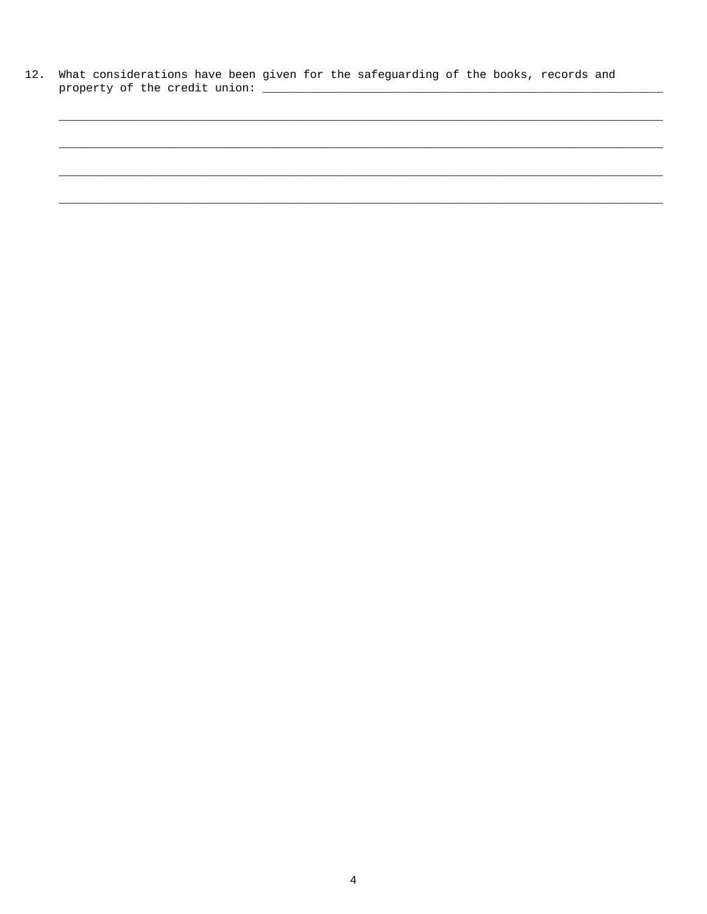12. What considerations have been given for the safeguarding of the books, records and 

 $\overline{4}$